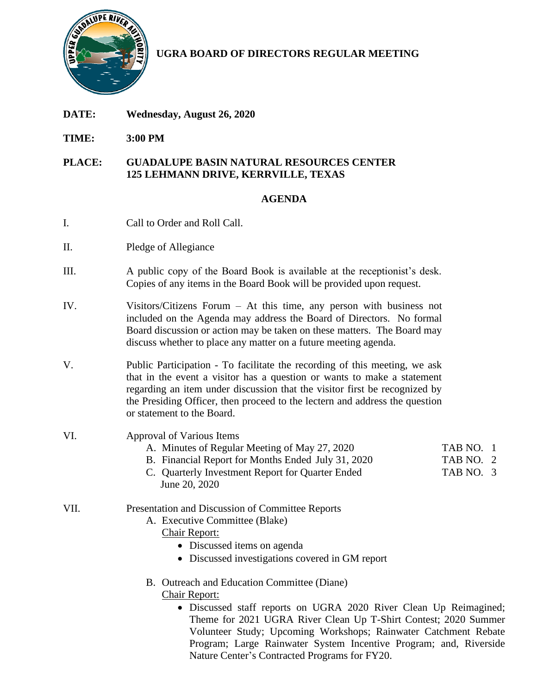

**UGRA BOARD OF DIRECTORS REGULAR MEETING**

- **DATE: Wednesday, August 26, 2020**
- **TIME: 3:00 PM**

### **PLACE: GUADALUPE BASIN NATURAL RESOURCES CENTER 125 LEHMANN DRIVE, KERRVILLE, TEXAS**

# **AGENDA**

- I. Call to Order and Roll Call.
- II. Pledge of Allegiance
- III. A public copy of the Board Book is available at the receptionist's desk. Copies of any items in the Board Book will be provided upon request.
- IV. Visitors/Citizens Forum At this time, any person with business not included on the Agenda may address the Board of Directors. No formal Board discussion or action may be taken on these matters. The Board may discuss whether to place any matter on a future meeting agenda.
- V. Public Participation To facilitate the recording of this meeting, we ask that in the event a visitor has a question or wants to make a statement regarding an item under discussion that the visitor first be recognized by the Presiding Officer, then proceed to the lectern and address the question or statement to the Board.
- VI. Approval of Various Items
	- A. Minutes of Regular Meeting of May 27, 2020 TAB NO. 1
	- B. Financial Report for Months Ended July 31, 2020 TAB NO. 2
	- C. Quarterly Investment Report for Quarter Ended TAB NO. 3 June 20, 2020
- VII. Presentation and Discussion of Committee Reports
	- A. Executive Committee (Blake)

# Chair Report:

- Discussed items on agenda
- Discussed investigations covered in GM report
- B. Outreach and Education Committee (Diane) Chair Report:
	- Discussed staff reports on UGRA 2020 River Clean Up Reimagined; Theme for 2021 UGRA River Clean Up T-Shirt Contest; 2020 Summer Volunteer Study; Upcoming Workshops; Rainwater Catchment Rebate Program; Large Rainwater System Incentive Program; and, Riverside Nature Center's Contracted Programs for FY20.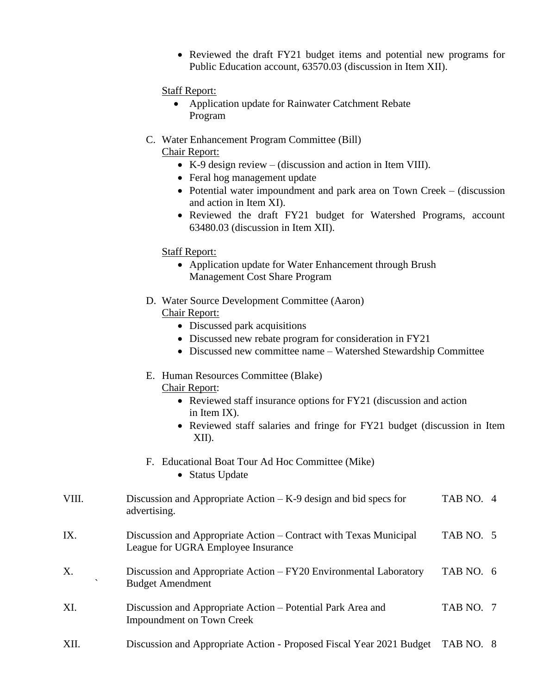• Reviewed the draft FY21 budget items and potential new programs for Public Education account, 63570.03 (discussion in Item XII).

#### Staff Report:

- Application update for Rainwater Catchment Rebate Program
- C. Water Enhancement Program Committee (Bill) Chair Report:
	- K-9 design review (discussion and action in Item VIII).
	- Feral hog management update
	- Potential water impoundment and park area on Town Creek (discussion and action in Item XI).
	- Reviewed the draft FY21 budget for Watershed Programs, account 63480.03 (discussion in Item XII).

#### Staff Report:

- Application update for Water Enhancement through Brush Management Cost Share Program
- D. Water Source Development Committee (Aaron) Chair Report:
	- Discussed park acquisitions
	- Discussed new rebate program for consideration in FY21
	- Discussed new committee name Watershed Stewardship Committee
- E. Human Resources Committee (Blake)

Chair Report:

- Reviewed staff insurance options for FY21 (discussion and action in Item IX).
- Reviewed staff salaries and fringe for FY21 budget (discussion in Item XII).

### F. Educational Boat Tour Ad Hoc Committee (Mike)

• Status Update

| VIII. | Discussion and Appropriate Action $-K-9$ design and bid specs for | TAB NO. 4 |  |
|-------|-------------------------------------------------------------------|-----------|--|
|       | advertising.                                                      |           |  |

- IX. Discussion and Appropriate Action Contract with Texas Municipal TAB NO. 5 League for UGRA Employee Insurance
- X. Discussion and Appropriate Action FY20 Environmental Laboratory TAB NO. 6 ` Budget Amendment
- XI. Discussion and Appropriate Action Potential Park Area and TAB NO. 7 Impoundment on Town Creek
- XII. Discussion and Appropriate Action Proposed Fiscal Year 2021 Budget TAB NO. 8